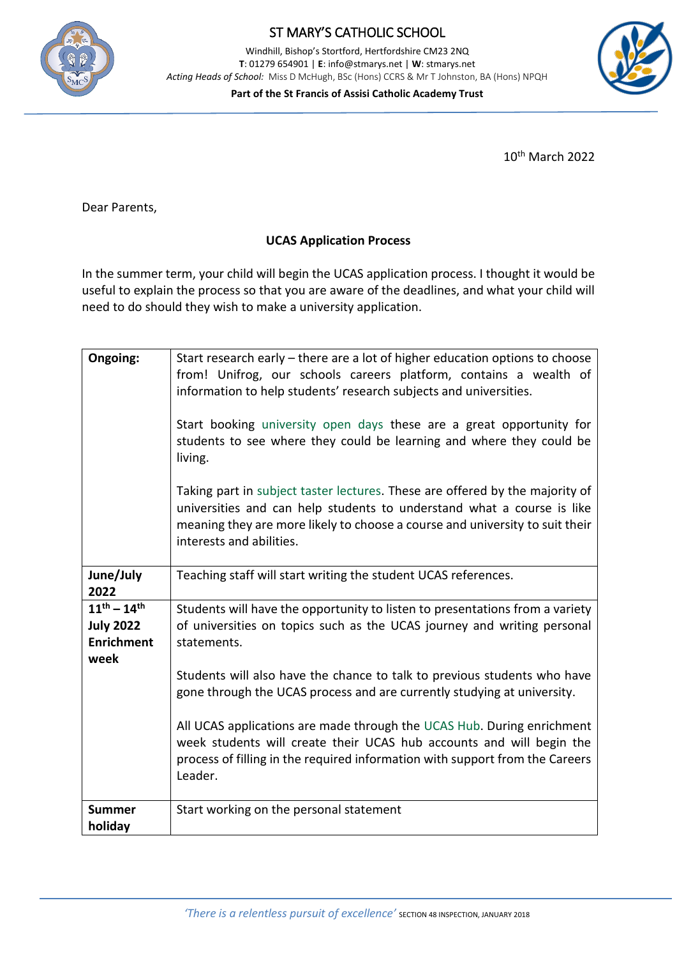

## ST MARY'S CATHOLIC SCHOOL

Windhill, Bishop's Stortford, Hertfordshire CM23 2NQ **T**: 01279 654901 | **E**[: info@stmarys.net](mailto:info@stmarys.net) | **W**: stmarys.net *Acting Heads of School:* Miss D McHugh, BSc (Hons) CCRS & Mr T Johnston, BA (Hons) NPQH

**Part of the St Francis of Assisi Catholic Academy Trust**



10th March 2022

 $\overline{a}$ 

Dear Parents,

## **UCAS Application Process**

In the summer term, your child will begin the UCAS application process. I thought it would be useful to explain the process so that you are aware of the deadlines, and what your child will need to do should they wish to make a university application.

| Ongoing:                                                             | Start research early – there are a lot of higher education options to choose<br>from! Unifrog, our schools careers platform, contains a wealth of<br>information to help students' research subjects and universities.<br>Start booking university open days these are a great opportunity for<br>students to see where they could be learning and where they could be<br>living.<br>Taking part in subject taster lectures. These are offered by the majority of<br>universities and can help students to understand what a course is like<br>meaning they are more likely to choose a course and university to suit their<br>interests and abilities. |
|----------------------------------------------------------------------|---------------------------------------------------------------------------------------------------------------------------------------------------------------------------------------------------------------------------------------------------------------------------------------------------------------------------------------------------------------------------------------------------------------------------------------------------------------------------------------------------------------------------------------------------------------------------------------------------------------------------------------------------------|
| June/July<br>2022                                                    | Teaching staff will start writing the student UCAS references.                                                                                                                                                                                                                                                                                                                                                                                                                                                                                                                                                                                          |
| $11^{th} - 14^{th}$<br><b>July 2022</b><br><b>Enrichment</b><br>week | Students will have the opportunity to listen to presentations from a variety<br>of universities on topics such as the UCAS journey and writing personal<br>statements.                                                                                                                                                                                                                                                                                                                                                                                                                                                                                  |
|                                                                      | Students will also have the chance to talk to previous students who have<br>gone through the UCAS process and are currently studying at university.                                                                                                                                                                                                                                                                                                                                                                                                                                                                                                     |
|                                                                      | All UCAS applications are made through the UCAS Hub. During enrichment<br>week students will create their UCAS hub accounts and will begin the<br>process of filling in the required information with support from the Careers<br>Leader.                                                                                                                                                                                                                                                                                                                                                                                                               |
| <b>Summer</b><br>holiday                                             | Start working on the personal statement                                                                                                                                                                                                                                                                                                                                                                                                                                                                                                                                                                                                                 |